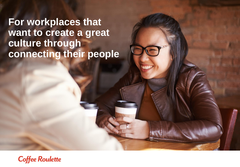**For workplaces that want to create a great culture through connecting their people**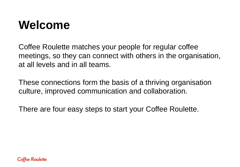## **Welcome**

Coffee Roulette matches your people for regular coffee meetings, so they can connect with others in the organisation, at all levels and in all teams.

These connections form the basis of a thriving organisation culture, improved communication and collaboration.

There are four easy steps to start your Coffee Roulette.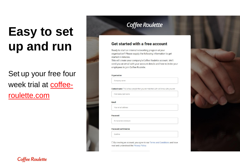# **Easy to set up and run**

Set up your free four [week trial at coffee](coffee-roulette.com)roulette.com

### **Coffee Roulette**

#### Get started with a free account

Ready to start an internal networking program at your organisation? Please supply the following information to get started in minutes.

This will create your company's Coffee Roulette account. We'll send you an email with your account details and how to invite your employees to join Coffee Roulette.

#### Organisation

Company name

Contact name This is how people that you are matched with will know who you are

First name, last name

#### Email

Your email address

#### Password

8 characters minimum

#### **Password confirmation**

Confirm

□ By creating an account, you agree to our Terms and Conditions and have read and understood the Privacy Policy.

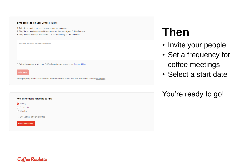#### Invite people to join your Coffee Roulette

1. Enter their email addresses below, separated by commas

- 2. They'll then receive an email inviting them to be part of your Coffee Roulette
- 3. They'll need to accept the invitation to start receiving coffee matches.

Add email addresses, separated by commas

□ By inviting people to join your Coffee Roulette, you agree to our Terms of Use.



We take your privacy seriously. We will never send you unsolicited emails or sell or share email addresses you provide us. Privacy Policy

## **Then**

- Invite your people
- Set a frequency for coffee meetings
- Select a start date

You're ready to go!

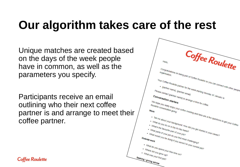## **Our algorithm takes care of the rest**

Unique matches are created based on the days of the week people have in common, as well as the parameters you specify.

Participants receive an email outlining who their next coffee partner is and arrange to meet their coffee partner.

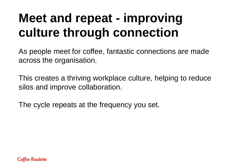# **Meet and repeat - improving culture through connection**

As people meet for coffee, fantastic connections are made across the organisation.

This creates a thriving workplace culture, helping to reduce silos and improve collaboration.

The cycle repeats at the frequency you set.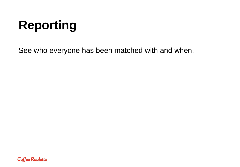# **Reporting**

See who everyone has been matched with and when.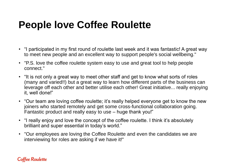## **People love Coffee Roulette**

- "I participated in my first round of roulette last week and it was fantastic! A great way to meet new people and an excellent way to support people's social wellbeing."
- "P.S. love the coffee roulette system easy to use and great tool to help people connect."
- "It is not only a great way to meet other staff and get to know what sorts of roles (many and varied!!) but a great way to learn how different parts of the business can leverage off each other and better utilise each other! Great initiative... really enjoying it, well done!"
- "Our team are loving coffee roulette; it's really helped everyone get to know the new joiners who started remotely and get some cross-functional collaboration going. Fantastic product and really easy to use – huge thank you!"
- "I really enjoy and love the concept of the coffee roulette. I think it's absolutely brilliant and super essential in today's world."
- "Our employees are loving the Coffee Roulette and even the candidates we are interviewing for roles are asking if we have it!"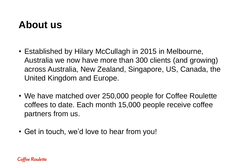### **About us**

- Established by Hilary McCullagh in 2015 in Melbourne, Australia we now have more than 300 clients (and growing) across Australia, New Zealand, Singapore, US, Canada, the United Kingdom and Europe.
- We have matched over 250,000 people for Coffee Roulette coffees to date. Each month 15,000 people receive coffee partners from us.
- Get in touch, we'd love to hear from you!